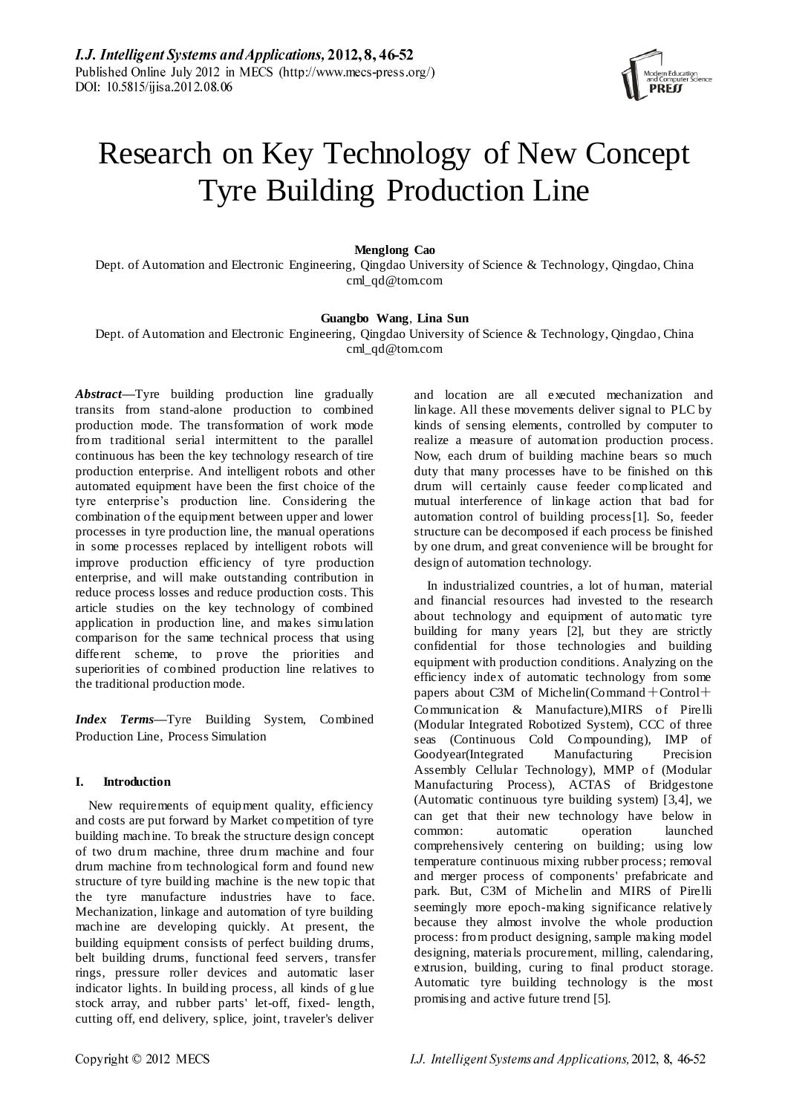

# Research on Key Technology of New Concept Tyre Building Production Line

## **Menglong Cao**

Dept. of Automation and Electronic Engineering, Qingdao University of Science & Technology, Qingdao, China cml\_qd@tom.com

## **Guangbo Wang**, **Lina Sun**

Dept. of Automation and Electronic Engineering, Qingdao University of Science & Technology, Qingdao, China cml\_qd@tom.com

*Abstract***—**Tyre building production line gradually transits from stand-alone production to combined production mode. The transformation of work mode from traditional serial intermittent to the parallel continuous has been the key technology research of tire production enterprise. And intelligent robots and other automated equipment have been the first choice of the tyre enterprise's production line. Considering the combination of the equipment between upper and lower processes in tyre production line, the manual operations in some processes replaced by intelligent robots will improve production efficiency of tyre production enterprise, and will make outstanding contribution in reduce process losses and reduce production costs. This article studies on the key technology of combined application in production line, and makes simulation comparison for the same technical process that using different scheme, to prove the priorities and superiorities of combined production line relatives to the traditional production mode.

*Index Terms—*Tyre Building System, Combined Production Line, Process Simulation

# **I. Introduction**

New requirements of equipment quality, efficiency and costs are put forward by Market competition of tyre building machine. To break the structure design concept of two drum machine, three drum machine and four drum machine from technological form and found new structure of tyre building machine is the new topic that the tyre manufacture industries have to face. Mechanization, linkage and automation of tyre building machine are developing quickly. At present, the building equipment consists of perfect building drums, belt building drums, functional feed servers, transfer rings, pressure roller devices and automatic laser indicator lights. In building process, all kinds of g lue stock array, and rubber parts' let-off, fixed- length, cutting off, end delivery, splice, joint, traveler's deliver and location are all executed mechanization and linkage. All these movements deliver signal to PLC by kinds of sensing elements, controlled by computer to realize a measure of automation production process. Now, each drum of building machine bears so much duty that many processes have to be finished on this drum will certainly cause feeder complicated and mutual interference of linkage action that bad for automation control of building process[1]. So, feeder structure can be decomposed if each process be finished by one drum, and great convenience will be brought for design of automation technology.

In industrialized countries, a lot of human, material and financial resources had invested to the research about technology and equipment of automatic tyre building for many years [2], but they are strictly confidential for those technologies and building equipment with production conditions. Analyzing on the efficiency index of automatic technology from some papers about C3M of Michelin(Command+Control+ Communication & Manufacture),MIRS of Pirelli (Modular Integrated Robotized System), CCC of three seas (Continuous Cold Compounding), IMP of Goodyear(Integrated Manufacturing Precision Assembly Cellular Technology), MMP of (Modular Manufacturing Process), ACTAS of Bridgestone (Automatic continuous tyre building system) [3,4], we can get that their new technology have below in common: automatic operation launched comprehensively centering on building; using low temperature continuous mixing rubber process; removal and merger process of components' prefabricate and park. But, C3M of Michelin and MIRS of Pirelli seemingly more epoch-making significance relatively because they almost involve the whole production process: from product designing, sample making model designing, materials procurement, milling, calendaring, extrusion, building, curing to final product storage. Automatic tyre building technology is the most promising and active future trend [5].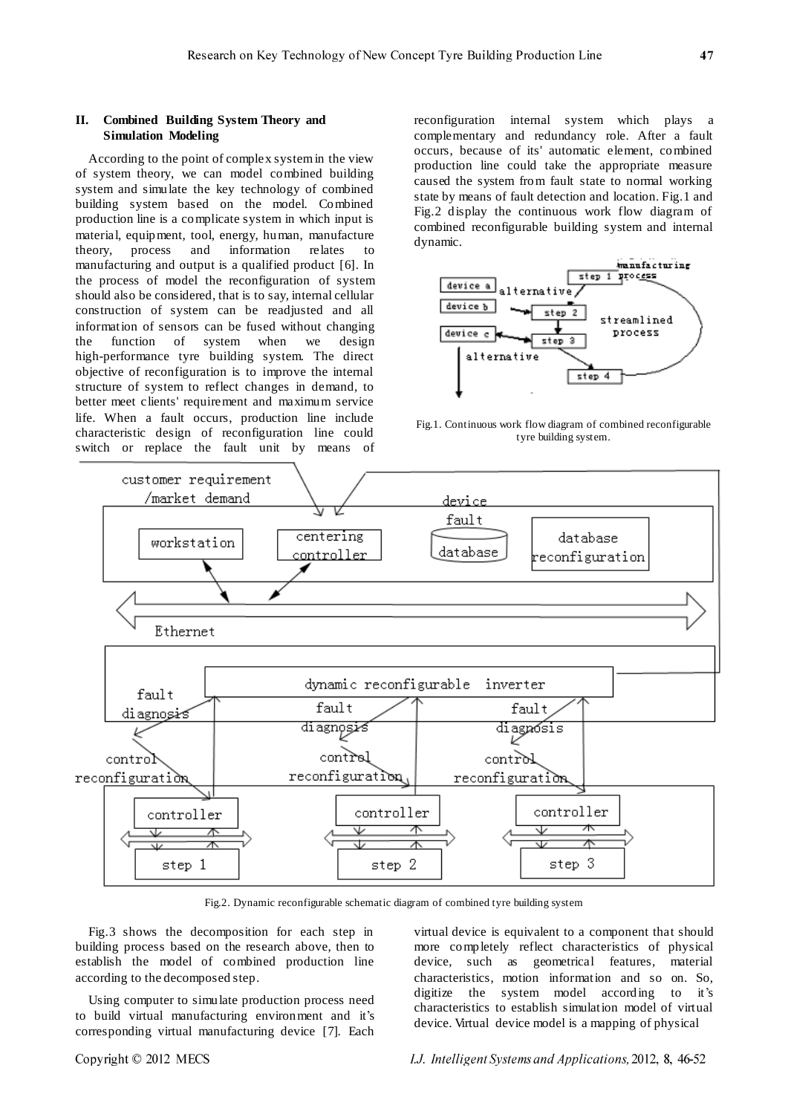# **II. Combined Building System Theory and Simulation Modeling**

According to the point of complex system in the view of system theory, we can model combined building system and simulate the key technology of combined building system based on the model. Combined production line is a complicate system in which input is material, equipment, tool, energy, human, manufacture theory, process and information relates to manufacturing and output is a qualified product [6]. In the process of model the reconfiguration of system should also be considered, that is to say, internal cellular construction of system can be readjusted and all information of sensors can be fused without changing the function of system when we design high-performance tyre building system. The direct objective of reconfiguration is to improve the internal structure of system to reflect changes in demand, to better meet clients' requirement and maximum service life. When a fault occurs, production line include characteristic design of reconfiguration line could switch or replace the fault unit by means of

reconfiguration internal system which plays a complementary and [redundancy](http://dict.youdao.com/search?q=redundancy&keyfrom=E2Ctranslation) role. After a fault occurs, because of its' automatic element, combined production line could take the appropriate measure caused the system from fault state to normal working state by means of fault detection and location. Fig.1 and Fig.2 display the continuous work flow diagram of combined reconfigurable building system and internal dynamic.



Fig.1. Continuous work flow diagram of combined reconfigurable tyre building system.



Fig.2. Dynamic reconfigurable schematic diagram of combined tyre building system

Fig.3 shows the decomposition for each step in building process based on the research above, then to establish the model of combined production line according to the decomposed step.

Using computer to simulate production process need to build virtual manufacturing environment and it's corresponding virtual manufacturing device [7]. Each

virtual device is equivalent to a component that should more completely reflect characteristics of physical device, such as geometrical features, material characteristics, motion information and so on. So, digitize the system model according to it's characteristics to establish simulation model of virtual device. Virtual device model is a mapping of physical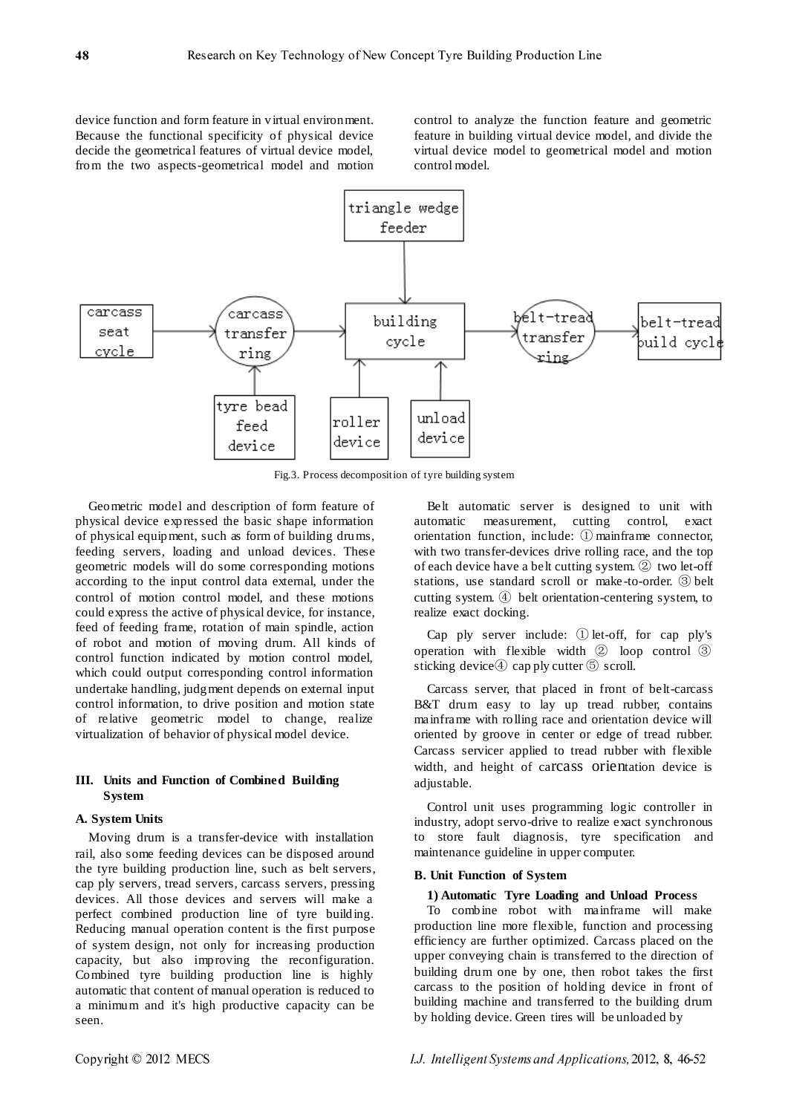device function and form feature in virtual environment. Because the functional specificity of physical device decide the geometrical features of virtual device model, from the two aspects-geometrical model and motion

control to analyze the function feature and geometric feature in building virtual device model, and divide the virtual device model to geometrical model and motion control model.



Fig.3. Process decomposition of tyre building system

Geometric model and description of form feature of physical device expressed the basic shape information of physical equipment, such as form of building drums, feeding servers, loading and unload devices. These geometric models will do some corresponding motions according to the input control data external, under the control of motion control model, and these motions could express the active of physical device, for instance, feed of feeding frame, rotation of main spindle, action of robot and motion of moving drum. All kinds of control function indicated by motion control model, which could output corresponding control information undertake handling, judgment depends on external input control information, to drive position and motion state of relative geometric model to change, realize virtualization of behavior of physical model device.

## **III. Units and Function of Combined Building System**

## **A. System Units**

Moving drum is a transfer-device with installation rail, also some feeding devices can be disposed around the tyre building production line, such as belt servers, cap ply servers, tread servers, carcass servers, pressing devices. All those devices and servers will make a perfect combined production line of tyre building. Reducing manual operation content is the first purpose of system design, not only for increasing production capacity, but also improving the reconfiguration. Combined tyre building production line is highly automatic that content of manual operation is reduced to a minimum and it's high productive capacity can be seen.

Belt automatic server is designed to unit with automatic measurement, cutting control, exact orientation function, include: ① mainframe connector, with two transfer-devices drive rolling race, and the top of each device have a belt cutting system. ② two let-off stations, use standard scroll or make -to-order. ③ belt cutting system. ④ belt orientation-centering system, to realize exact docking.

Cap ply server include: ① let-off, for cap ply's operation with flexible width ② loop control ③ sticking device 4 cap ply cutter 5 scroll.

Carcass server, that placed in front of belt-carcass B&T drum easy to lay up tread rubber, contains mainframe with rolling race and orientation device will oriented by groove in center or edge of tread rubber. Carcass servicer applied to tread rubber with flexible width, and height of carcass orientation device is adjustable.

Control unit uses programming logic controller in industry, adopt servo-drive to realize exact synchronous to store fault diagnosis, tyre specification and maintenance guideline in upper computer.

#### **B. Unit Function of System**

# **1) Automatic Tyre Loading and Unload Process**

To combine robot with mainframe will make production line more flexible, function and processing efficiency are further optimized. Carcass placed on the upper conveying chain is transferred to the direction of building drum one by one, then robot takes the first carcass to the position of holding device in front of building machine and transferred to the building drum by holding device. Green tires will be unloaded by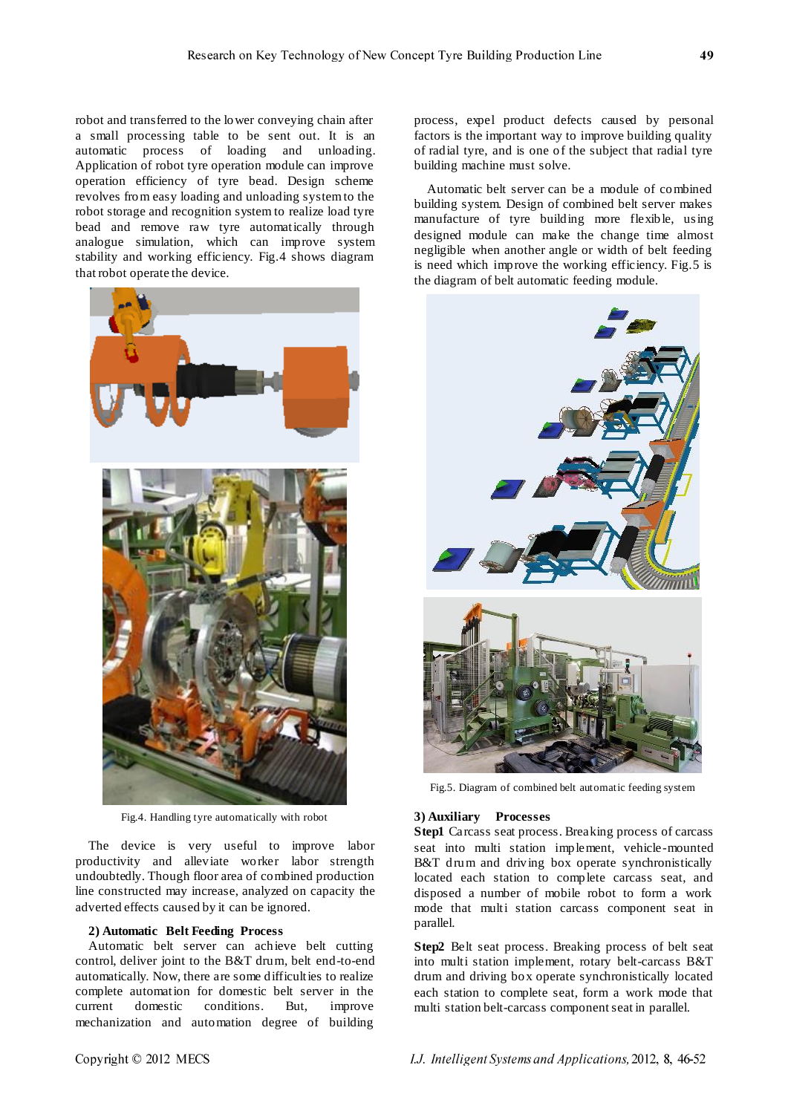robot and transferred to the lower conveying chain after a small processing table to be sent out. It is an automatic process of loading and unloading. Application of robot tyre operation module can improve operation efficiency of tyre bead. Design scheme revolves from easy loading and unloading system to the robot storage and recognition system to realize load tyre bead and remove raw tyre automatically through analogue simulation, which can improve system stability and working efficiency. Fig.4 shows diagram that robot operate the device.



Fig.4. Handling tyre automatically with robot

The device is very useful to improve labor productivity and alleviate worker labor strength undoubtedly. Though floor area of combined production line constructed may increase, analyzed on capacity the adverted effects caused by it can be ignored.

## **2) Automatic Belt Feeding Process**

Automatic belt server can achieve belt cutting control, deliver joint to the B&T drum, belt end-to-end automatically. Now, there are some difficulties to realize complete automation for domestic belt server in the current domestic conditions. But, improve [mechanization](http://dict.youdao.com/search?q=mechanization&keyfrom=E2Ctranslation) and automation degree of building

process, expel product defects caused by personal factors is the important way to improve building quality of radial tyre, and is one of the subject that radial tyre building machine must solve.

Automatic belt server can be a module of combined building system. Design of combined belt server makes manufacture of tyre building more flexible, using designed module can make the change time almost negligible when another angle or width of belt feeding is need which improve the working efficiency. Fig.5 is the diagram of belt automatic feeding module.



Fig.5. Diagram of combined belt automatic feeding system

# **3) Auxiliary Processes**

**Step1** Carcass seat process. Breaking process of carcass seat into multi station implement, [vehicle-mounted](http://dict.youdao.com/search?q=vehicle-mounted&keyfrom=E2Ctranslation) B&T drum and driving box operate synchronistically located each station to complete carcass seat, and disposed a number of mobile robot to form a work mode that multi station carcass component seat in parallel.

**Step2** Belt seat process. Breaking process of belt seat into multi station implement, rotary belt-carcass B&T drum and driving box operate synchronistically located each station to complete seat, form a work mode that multi station belt-carcass component seat in parallel.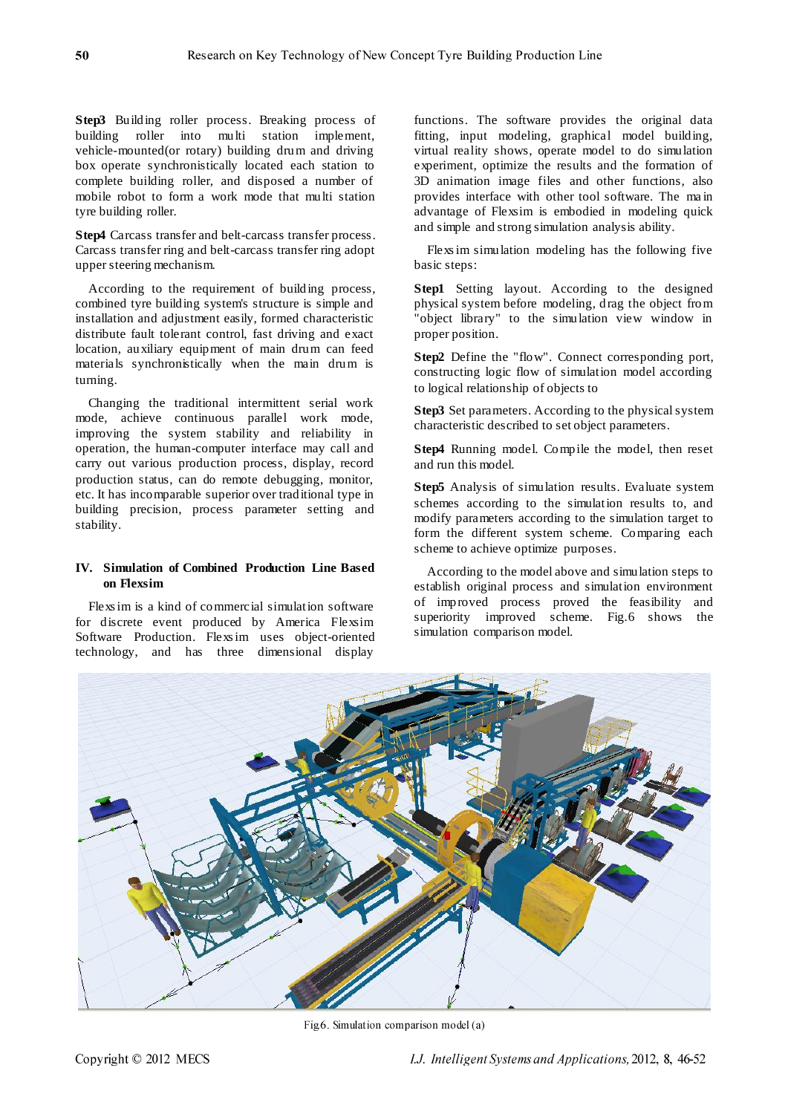**Step3** Building roller process. Breaking process of building roller into multi station implement, [vehicle-mounted\(](http://dict.youdao.com/search?q=vehicle-mounted&keyfrom=E2Ctranslation)or rotary) building drum and driving box operate synchronistically located each station to complete building roller, and disposed a number of mobile robot to form a work mode that multi station tyre building roller.

**Step4** Carcass transfer and belt-carcass transfer process. Carcass transfer ring and belt-carcass transfer ring adopt upper steering mechanism.

According to the requirement of building process, combined tyre building system's structure is simple and installation and adjustment easily, formed characteristic distribute fault tolerant control, fast driving and exact location, auxiliary equipment of main drum can feed materials synchronistically when the main drum is turning.

Changing the traditional intermittent serial work mode, achieve continuous parallel work mode, improving the system stability and reliability in operation, the human-computer interface may call and carry out various production process, display, record production status, can do remote debugging, monitor, etc. It has incomparable superior over traditional type in building precision, process parameter setting and stability.

# **IV. Simulation of Combined Production Line Based on Flexsim**

Flexs im is a kind of commercial simulation software for discrete event produced by America Flexsim Software Production. Flexs im uses object-oriented technology, and has three dimensional display

functions. The software provides the original data fitting, input modeling, graphical model building, virtual reality shows, operate model to do simulation experiment, optimize the results and the formation of 3D animation image files and other functions, also provides interface with other tool software. The ma in advantage of Flexsim is embodied in modeling quick and simple and strong simulation analysis ability.

Flexs im simulation modeling has the following five basic steps:

**Step1** Setting layout. According to the designed physical system before modeling, drag the object from "object library" to the simulation view window in proper position.

**Step2** Define the "flow". Connect corresponding port, constructing logic flow of simulation model according to logical relationship of objects to

**Step3** Set parameters. According to the physical system characteristic described to set object parameters.

**Step4** Running model. Compile the model, then reset and run this model.

**Step5** Analysis of simulation results. Evaluate system schemes according to the simulation results to, and modify parameters according to the simulation target to form the different system scheme. Comparing each scheme to achieve optimize purposes.

According to the model above and simulation steps to establish original process and simulation environment of improved process proved the feasibility and superiority improved scheme. Fig.6 shows the simulation comparison model.



Fig.6. Simulation comparison model (a)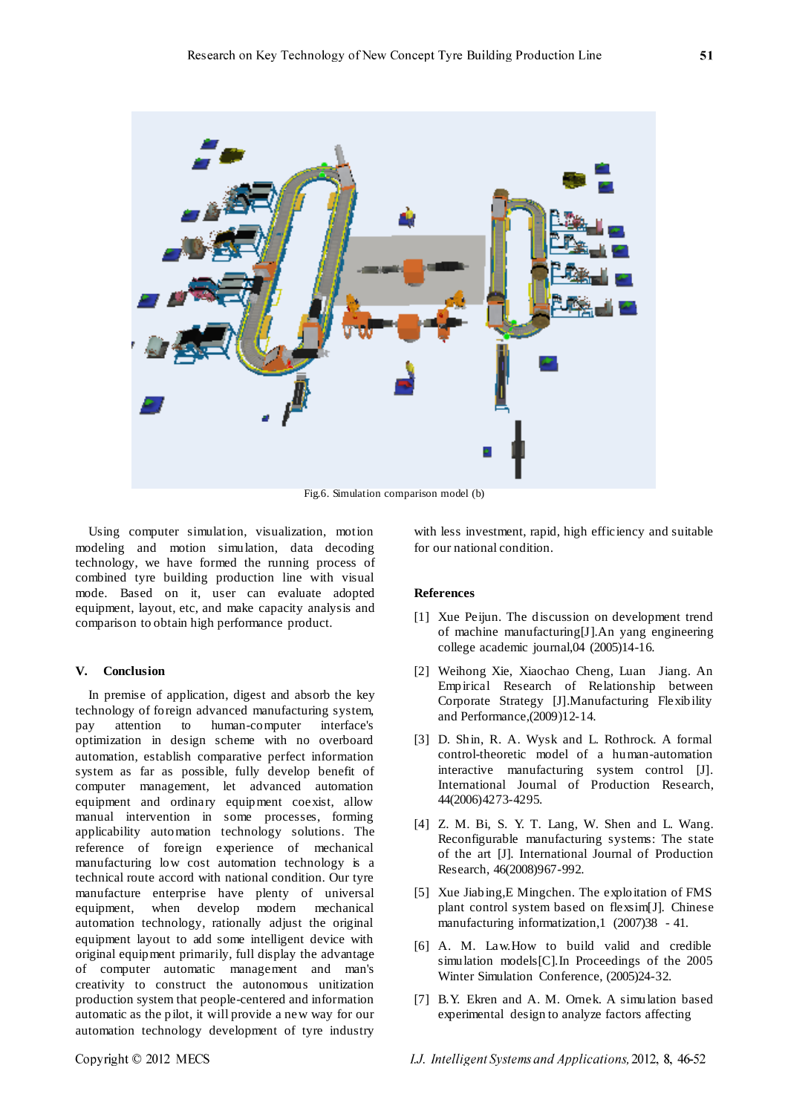

Fig.6. Simulation comparison model (b)

Using computer simulation, visualization, motion modeling and motion simulation, data decoding technology, we have formed the running process of combined tyre building production line with visual mode. Based on it, user can evaluate adopted equipment, layout, etc, and make capacity analysis and comparison to obtain high performance product.

# **V. Conclusion**

In premise of application, digest and absorb the key technology of foreign advanced manufacturing system, pay attention to human-computer interface's optimization in design scheme with no overboard automation, establish comparative perfect information system as far as possible, fully develop benefit of computer management, let advanced automation equipment and ordinary equipment coexist, allow manual intervention in some processes, forming applicability automation technology solutions. The reference of foreign experience of mechanical manufacturing low cost automation technology is a technical route accord with national condition. Our tyre manufacture enterprise have plenty of universal equipment, when develop modern mechanical automation technology, rationally adjust the original equipment layout to add some intelligent device with original equipment primarily, full display the advantage of computer automatic management and man's creativity to construct the autonomous unitization production system that people-centered and information automatic as the pilot, it will provide a new way for our automation technology development of tyre industry

with less investment, rapid, high efficiency and suitable for our national condition.

#### **References**

- [1] Xue Peijun. The discussion on development trend of machine manufacturing[J].An yang engineering college academic journal,04 (2005)14-16.
- [2] Weihong Xie, Xiaochao Cheng, Luan Jiang. [An](http://d.wanfangdata.com.cn/ExternalResource-sczk201002033%5e7.aspx)  [Empirical Research of Relationship between](http://d.wanfangdata.com.cn/ExternalResource-sczk201002033%5e7.aspx)  [Corporate Strategy \[J\].Manufacturing Flexibility](http://d.wanfangdata.com.cn/ExternalResource-sczk201002033%5e7.aspx)  [and Performance,\(](http://d.wanfangdata.com.cn/ExternalResource-sczk201002033%5e7.aspx)2009)12-14.
- [3] D. Shin, R. A. Wysk and L. Rothrock. A formal control-theoretic model of a human-automation interactive manufacturing system control [J]. International Journal of Production Research, 44(2006)4273-4295.
- [4] Z. M. Bi, S. Y. T. Lang, W. Shen and L. Wang. Reconfigurable manufacturing systems: The state of the art [J]. International Journal of Production Research, 46(2008)967-992.
- [5] Xue Jiabing,E Mingchen. The exploitation of FMS plant control system based on flexsim[J]. Chinese manufacturing informatization,1 (2007)38 - 41.
- [6] A. M. Law.How to build valid and credible simulation models[C].In Proceedings of the 2005 Winter Simulation Conference, (2005)24-32.
- [7] B.Y. Ekren and A. M. Ornek. A simulation based experimental design to analyze factors affecting